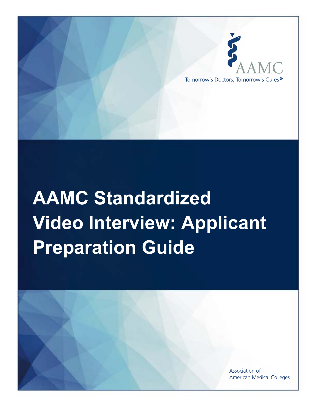

# **AAMC Standardized Video Interview: Applicant Preparation Guide**

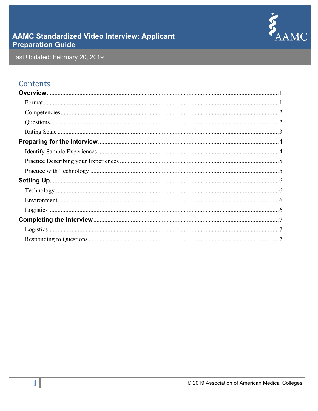

## **AAMC Standardized Video Interview: Applicant Preparation Guide**

Last Updated: February 20, 2019

## Contents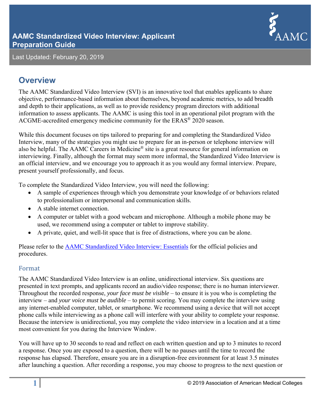

## **Overview**

The AAMC Standardized Video Interview (SVI) is an innovative tool that enables applicants to share objective, performance-based information about themselves, beyond academic metrics, to add breadth and depth to their applications, as well as to provide residency program directors with additional information to assess applicants. The AAMC is using this tool in an operational pilot program with the ACGME-accredited emergency medicine community for the ERAS® 2020 season.

While this document focuses on tips tailored to preparing for and completing the Standardized Video Interview, many of the strategies you might use to prepare for an in-person or telephone interview will also be helpful. The AAMC Careers in Medicine® site is a great resource for general information on interviewing. Finally, although the format may seem more informal, the Standardized Video Interview is an official interview, and we encourage you to approach it as you would any formal interview. Prepare, present yourself professionally, and focus.

To complete the Standardized Video Interview, you will need the following:

- A sample of experiences through which you demonstrate your knowledge of or behaviors related to professionalism or interpersonal and communication skills.
- A stable internet connection.
- A computer or tablet with a good webcam and microphone. Although a mobile phone may be used, we recommend using a computer or tablet to improve stability.
- A private, quiet, and well-lit space that is free of distractions, where you can be alone.

Please refer to the AAMC Standardized Video Interview: Essentials for the official policies and procedures.

#### Format

The AAMC Standardized Video Interview is an online, unidirectional interview. Six questions are presented in text prompts, and applicants record an audio/video response; there is no human interviewer. Throughout the recorded response, *your face must be visible* – to ensure it is you who is completing the interview – and *your voice must be audible* – to permit scoring. You may complete the interview using any internet-enabled computer, tablet, or smartphone. We recommend using a device that will not accept phone calls while interviewing as a phone call will interfere with your ability to complete your response. Because the interview is unidirectional, you may complete the video interview in a location and at a time most convenient for you during the Interview Window.

You will have up to 30 seconds to read and reflect on each written question and up to 3 minutes to record a response. Once you are exposed to a question, there will be no pauses until the time to record the response has elapsed. Therefore, ensure you are in a disruption-free environment for at least 3.5 minutes after launching a question. After recording a response, you may choose to progress to the next question or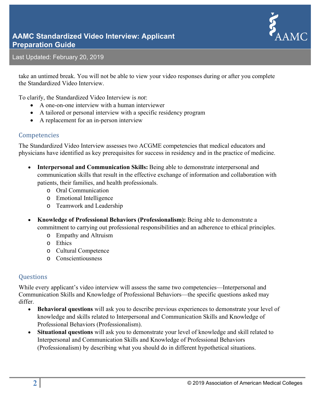

take an untimed break. You will not be able to view your video responses during or after you complete the Standardized Video Interview.

To clarify, the Standardized Video Interview is *not*:

- A one-on-one interview with a human interviewer
- A tailored or personal interview with a specific residency program
- A replacement for an in-person interview

#### Competencies

The Standardized Video Interview assesses two ACGME competencies that medical educators and physicians have identified as key prerequisites for success in residency and in the practice of medicine.

- **Interpersonal and Communication Skills:** Being able to demonstrate interpersonal and communication skills that result in the effective exchange of information and collaboration with patients, their families, and health professionals.
	- o Oral Communication
	- o Emotional Intelligence
	- o Teamwork and Leadership
- **Knowledge of Professional Behaviors (Professionalism):** Being able to demonstrate a commitment to carrying out professional responsibilities and an adherence to ethical principles.
	- o Empathy and Altruism
	- o Ethics
	- o Cultural Competence
	- o Conscientiousness

#### **Questions**

While every applicant's video interview will assess the same two competencies—Interpersonal and Communication Skills and Knowledge of Professional Behaviors—the specific questions asked may differ.

- **Behavioral questions** will ask you to describe previous experiences to demonstrate your level of knowledge and skills related to Interpersonal and Communication Skills and Knowledge of Professional Behaviors (Professionalism).
- **Situational questions** will ask you to demonstrate your level of knowledge and skill related to Interpersonal and Communication Skills and Knowledge of Professional Behaviors (Professionalism) by describing what you should do in different hypothetical situations.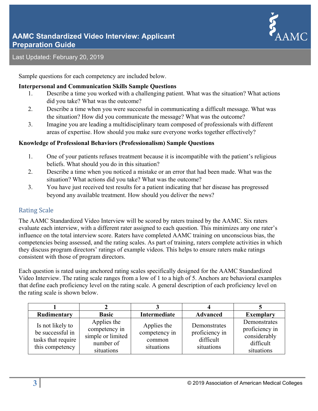

Sample questions for each competency are included below.

#### **Interpersonal and Communication Skills Sample Questions**

- 1. Describe a time you worked with a challenging patient. What was the situation? What actions did you take? What was the outcome?
- 2. Describe a time when you were successful in communicating a difficult message. What was the situation? How did you communicate the message? What was the outcome?
- 3. Imagine you are leading a multidisciplinary team composed of professionals with different areas of expertise. How should you make sure everyone works together effectively?

#### **Knowledge of Professional Behaviors (Professionalism) Sample Questions**

- 1. One of your patients refuses treatment because it is incompatible with the patient's religious beliefs. What should you do in this situation?
- 2. Describe a time when you noticed a mistake or an error that had been made. What was the situation? What actions did you take? What was the outcome?
- 3. You have just received test results for a patient indicating that her disease has progressed beyond any available treatment. How should you deliver the news?

#### **Rating Scale**

The AAMC Standardized Video Interview will be scored by raters trained by the AAMC. Six raters evaluate each interview, with a different rater assigned to each question. This minimizes any one rater's influence on the total interview score. Raters have completed AAMC training on unconscious bias, the competencies being assessed, and the rating scales. As part of training, raters complete activities in which they discuss program directors' ratings of example videos. This helps to ensure raters make ratings consistent with those of program directors.

Each question is rated using anchored rating scales specifically designed for the AAMC Standardized Video Interview. The rating scale ranges from a low of 1 to a high of 5. Anchors are behavioral examples that define each proficiency level on the rating scale. A general description of each proficiency level on the rating scale is shown below.

| Rudimentary                                                                   | <b>Basic</b>                                                                 | Intermediate                                         | <b>Advanced</b>                                           | <b>Exemplary</b>                                                          |
|-------------------------------------------------------------------------------|------------------------------------------------------------------------------|------------------------------------------------------|-----------------------------------------------------------|---------------------------------------------------------------------------|
| Is not likely to<br>be successful in<br>tasks that require<br>this competency | Applies the<br>competency in<br>simple or limited<br>number of<br>situations | Applies the<br>competency in<br>common<br>situations | Demonstrates<br>proficiency in<br>difficult<br>situations | Demonstrates<br>proficiency in<br>considerably<br>difficult<br>situations |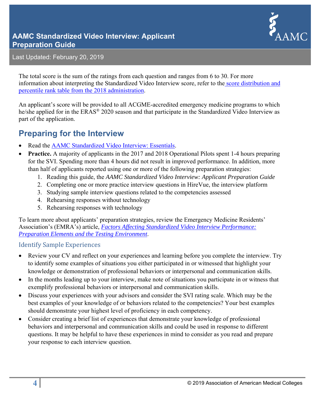



The total score is the sum of the ratings from each question and ranges from 6 to 30. For more information about interpreting the Standardized Video Interview score, refer to the score distribution and percentile rank table from the 2018 administration.

An applicant's score will be provided to all ACGME-accredited emergency medicine programs to which he/she applied for in the ERAS® 2020 season and that participate in the Standardized Video Interview as part of the application.

## **Preparing for the Interview**

- Read the AAMC Standardized Video Interview: Essentials.
- **Practice.** A majority of applicants in the 2017 and 2018 Operational Pilots spent 1-4 hours preparing for the SVI. Spending more than 4 hours did not result in improved performance. In addition, more than half of applicants reported using one or more of the following preparation strategies:
	- 1. Reading this guide, the *AAMC Standardized Video Interview: Applicant Preparation Guide*
	- 2. Completing one or more practice interview questions in HireVue, the interview platform
	- 3. Studying sample interview questions related to the competencies assessed
	- 4. Rehearsing responses without technology
	- 5. Rehearsing responses with technology

To learn more about applicants' preparation strategies, review the Emergency Medicine Residents' Association's (EMRA's) article, *Factors Affecting Standardized Video Interview Performance: Preparation Elements and the Testing Environment*.

#### **Identify Sample Experiences**

- Review your CV and reflect on your experiences and learning before you complete the interview. Try to identify some examples of situations you either participated in or witnessed that highlight your knowledge or demonstration of professional behaviors or interpersonal and communication skills.
- In the months leading up to your interview, make note of situations you participate in or witness that exemplify professional behaviors or interpersonal and communication skills.
- Discuss your experiences with your advisors and consider the SVI rating scale. Which may be the best examples of your knowledge of or behaviors related to the competencies? Your best examples should demonstrate your highest level of proficiency in each competency.
- Consider creating a brief list of experiences that demonstrate your knowledge of professional behaviors and interpersonal and communication skills and could be used in response to different questions. It may be helpful to have these experiences in mind to consider as you read and prepare your response to each interview question.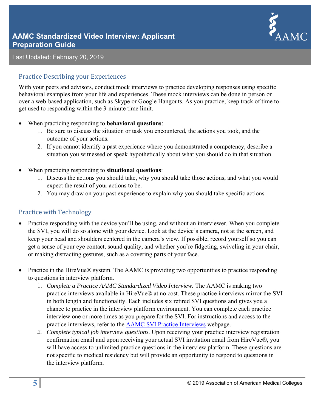

#### Practice Describing your Experiences

With your peers and advisors, conduct mock interviews to practice developing responses using specific behavioral examples from your life and experiences. These mock interviews can be done in person or over a web-based application, such as Skype or Google Hangouts. As you practice, keep track of time to get used to responding within the 3-minute time limit.

- When practicing responding to **behavioral questions**:
	- 1. Be sure to discuss the situation or task you encountered, the actions you took, and the outcome of your actions.
	- 2. If you cannot identify a past experience where you demonstrated a competency, describe a situation you witnessed or speak hypothetically about what you should do in that situation.
- When practicing responding to **situational questions**:
	- 1. Discuss the actions you should take, why you should take those actions, and what you would expect the result of your actions to be.
	- 2. You may draw on your past experience to explain why you should take specific actions.

#### Practice with Technology

- Practice responding with the device you'll be using, and without an interviewer. When you complete the SVI, you will do so alone with your device. Look at the device's camera, not at the screen, and keep your head and shoulders centered in the camera's view. If possible, record yourself so you can get a sense of your eye contact, sound quality, and whether you're fidgeting, swiveling in your chair, or making distracting gestures, such as a covering parts of your face.
- Practice in the HireVue® system. The AAMC is providing two opportunities to practice responding to questions in interview platform.
	- 1. *Complete a Practice AAMC Standardized Video Interview.* The AAMC is making two practice interviews available in HireVue® at no cost. These practice interviews mirror the SVI in both length and functionality. Each includes six retired SVI questions and gives you a chance to practice in the interview platform environment. You can complete each practice interview one or more times as you prepare for the SVI. For instructions and access to the practice interviews, refer to the AAMC SVI Practice Interviews webpage.
	- *2. Complete typical job interview questions.* Upon receiving your practice interview registration confirmation email and upon receiving your actual SVI invitation email from HireVue®, you will have access to unlimited practice questions in the interview platform. These questions are not specific to medical residency but will provide an opportunity to respond to questions in the interview platform.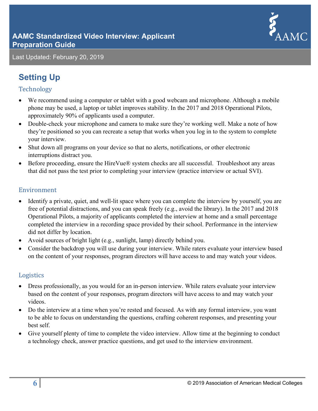

# **Setting Up**

#### Technology

- We recommend using a computer or tablet with a good webcam and microphone. Although a mobile phone may be used, a laptop or tablet improves stability. In the 2017 and 2018 Operational Pilots, approximately 90% of applicants used a computer.
- Double-check your microphone and camera to make sure they're working well. Make a note of how they're positioned so you can recreate a setup that works when you log in to the system to complete your interview.
- Shut down all programs on your device so that no alerts, notifications, or other electronic interruptions distract you.
- Before proceeding, ensure the HireVue® system checks are all successful. Troubleshoot any areas that did not pass the test prior to completing your interview (practice interview or actual SVI).

#### Environment

- Identify a private, quiet, and well-lit space where you can complete the interview by yourself, you are free of potential distractions, and you can speak freely (e.g., avoid the library). In the 2017 and 2018 Operational Pilots, a majority of applicants completed the interview at home and a small percentage completed the interview in a recording space provided by their school. Performance in the interview did not differ by location.
- Avoid sources of bright light (e.g., sunlight, lamp) directly behind you.
- Consider the backdrop you will use during your interview. While raters evaluate your interview based on the content of your responses, program directors will have access to and may watch your videos.

#### Logistics

- Dress professionally, as you would for an in-person interview. While raters evaluate your interview based on the content of your responses, program directors will have access to and may watch your videos.
- Do the interview at a time when you're rested and focused. As with any formal interview, you want to be able to focus on understanding the questions, crafting coherent responses, and presenting your best self.
- Give yourself plenty of time to complete the video interview. Allow time at the beginning to conduct a technology check, answer practice questions, and get used to the interview environment.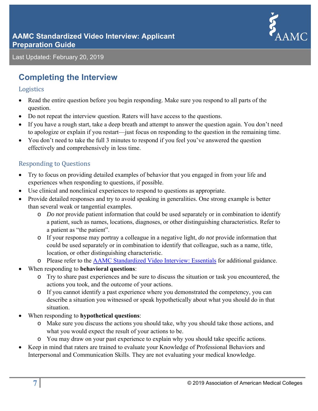

## **Completing the Interview**

#### Logistics

- Read the entire question before you begin responding. Make sure you respond to all parts of the question.
- Do not repeat the interview question. Raters will have access to the questions.
- If you have a rough start, take a deep breath and attempt to answer the question again. You don't need to apologize or explain if you restart—just focus on responding to the question in the remaining time.
- You don't need to take the full 3 minutes to respond if you feel you've answered the question effectively and comprehensively in less time.

#### **Responding to Questions**

- Try to focus on providing detailed examples of behavior that you engaged in from your life and experiences when responding to questions, if possible.
- Use clinical and nonclinical experiences to respond to questions as appropriate.
- Provide detailed responses and try to avoid speaking in generalities. One strong example is better than several weak or tangential examples.
	- o *Do not* provide patient information that could be used separately or in combination to identify a patient, such as names, locations, diagnoses, or other distinguishing characteristics. Refer to a patient as "the patient".
	- o If your response may portray a colleague in a negative light, *do not* provide information that could be used separately or in combination to identify that colleague, such as a name, title, location, or other distinguishing characteristic.
	- o Please refer to the AAMC Standardized Video Interview: Essentials for additional guidance.
- When responding to **behavioral questions**:
	- o Try to share past experiences and be sure to discuss the situation or task you encountered, the actions you took, and the outcome of your actions.
	- o If you cannot identify a past experience where you demonstrated the competency, you can describe a situation you witnessed or speak hypothetically about what you should do in that situation.
- When responding to **hypothetical questions**:
	- o Make sure you discuss the actions you should take, why you should take those actions, and what you would expect the result of your actions to be.
	- o You may draw on your past experience to explain why you should take specific actions.
- Keep in mind that raters are trained to evaluate your Knowledge of Professional Behaviors and Interpersonal and Communication Skills. They are not evaluating your medical knowledge.